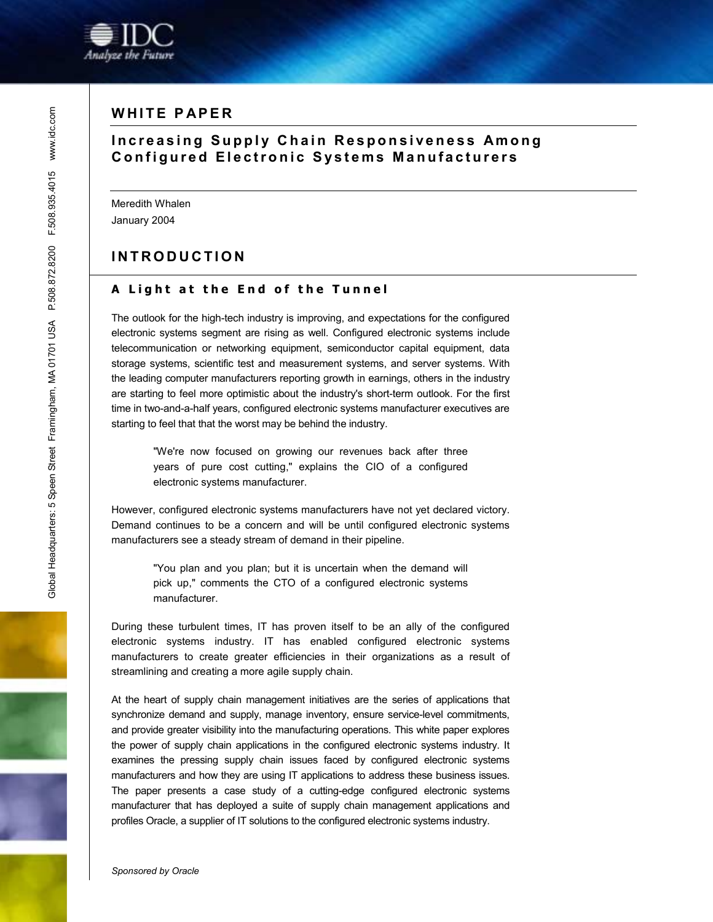

# **WHITE PAPER**

# **Increasing Supply Chain Responsiveness Among Configured Electronic Systems Manufacturers**

Meredith Whalen January 2004

# **INTRODUCTION**

#### **A Light at the End of the Tunnel**

The outlook for the high-tech industry is improving, and expectations for the configured electronic systems segment are rising as well. Configured electronic systems include telecommunication or networking equipment, semiconductor capital equipment, data storage systems, scientific test and measurement systems, and server systems. With the leading computer manufacturers reporting growth in earnings, others in the industry are starting to feel more optimistic about the industry's short-term outlook. For the first time in two-and-a-half years, configured electronic systems manufacturer executives are starting to feel that that the worst may be behind the industry.

"We're now focused on growing our revenues back after three years of pure cost cutting," explains the CIO of a configured electronic systems manufacturer.

However, configured electronic systems manufacturers have not yet declared victory. Demand continues to be a concern and will be until configured electronic systems manufacturers see a steady stream of demand in their pipeline.

> "You plan and you plan; but it is uncertain when the demand will pick up," comments the CTO of a configured electronic systems manufacturer.

During these turbulent times, IT has proven itself to be an ally of the configured electronic systems industry. IT has enabled configured electronic systems manufacturers to create greater efficiencies in their organizations as a result of streamlining and creating a more agile supply chain.

At the heart of supply chain management initiatives are the series of applications that synchronize demand and supply, manage inventory, ensure service-level commitments, and provide greater visibility into the manufacturing operations. This white paper explores the power of supply chain applications in the configured electronic systems industry. It examines the pressing supply chain issues faced by configured electronic systems manufacturers and how they are using IT applications to address these business issues. The paper presents a case study of a cutting-edge configured electronic systems manufacturer that has deployed a suite of supply chain management applications and profiles Oracle, a supplier of IT solutions to the configured electronic systems industry.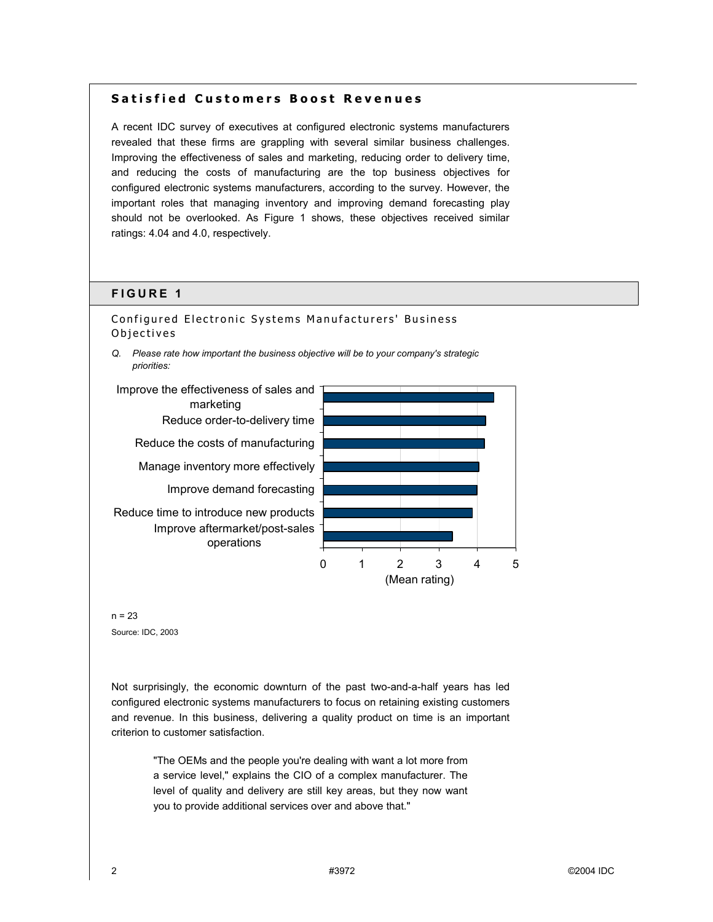#### **Satisfied Customers Boost Revenues**

A recent IDC survey of executives at configured electronic systems manufacturers revealed that these firms are grappling with several similar business challenges. Improving the effectiveness of sales and marketing, reducing order to delivery time, and reducing the costs of manufacturing are the top business objectives for configured electronic systems manufacturers, according to the survey. However, the important roles that managing inventory and improving demand forecasting play should not be overlooked. As Figure 1 shows, these objectives received similar ratings: 4.04 and 4.0, respectively.

#### **FIGURE 1**

Configured Electronic Systems Manufacturers' Business Objectives

*Q. Please rate how important the business objective will be to your company's strategic priorities:* 





Not surprisingly, the economic downturn of the past two-and-a-half years has led configured electronic systems manufacturers to focus on retaining existing customers and revenue. In this business, delivering a quality product on time is an important criterion to customer satisfaction.

> "The OEMs and the people you're dealing with want a lot more from a service level," explains the CIO of a complex manufacturer. The level of quality and delivery are still key areas, but they now want you to provide additional services over and above that."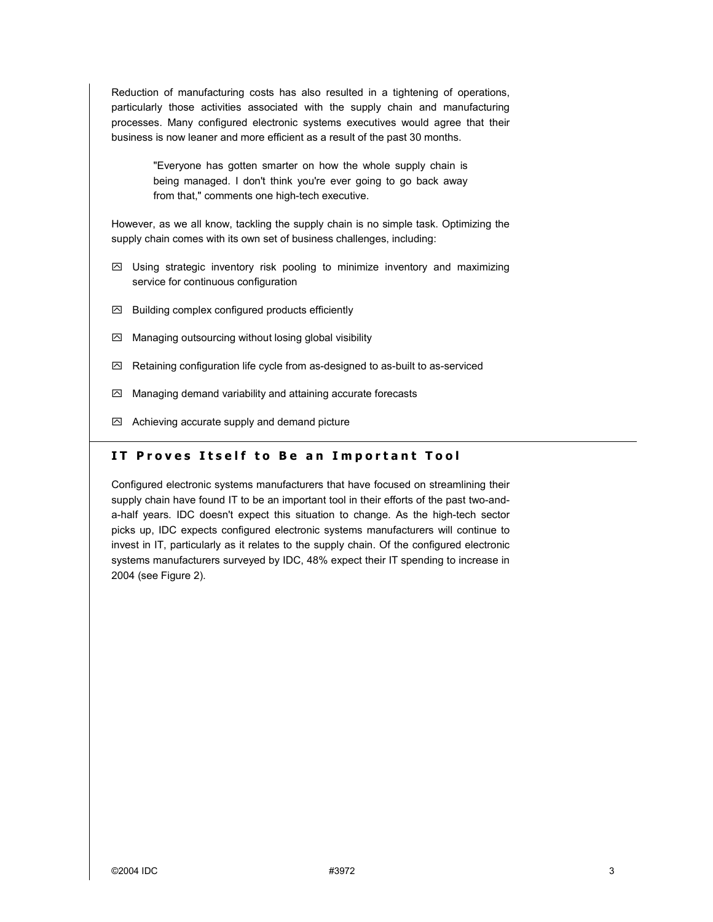Reduction of manufacturing costs has also resulted in a tightening of operations, particularly those activities associated with the supply chain and manufacturing processes. Many configured electronic systems executives would agree that their business is now leaner and more efficient as a result of the past 30 months.

> "Everyone has gotten smarter on how the whole supply chain is being managed. I don't think you're ever going to go back away from that," comments one high-tech executive.

However, as we all know, tackling the supply chain is no simple task. Optimizing the supply chain comes with its own set of business challenges, including:

- $\boxtimes$  Using strategic inventory risk pooling to minimize inventory and maximizing service for continuous configuration
- $\boxtimes$  Building complex configured products efficiently
- $\boxtimes$  Managing outsourcing without losing global visibility
- $\boxtimes$  Retaining configuration life cycle from as-designed to as-built to as-serviced
- $\boxtimes$  Managing demand variability and attaining accurate forecasts
- $\boxtimes$  Achieving accurate supply and demand picture

## **IT Proves Itself to Be an Important Tool**

Configured electronic systems manufacturers that have focused on streamlining their supply chain have found IT to be an important tool in their efforts of the past two-anda-half years. IDC doesn't expect this situation to change. As the high-tech sector picks up, IDC expects configured electronic systems manufacturers will continue to invest in IT, particularly as it relates to the supply chain. Of the configured electronic systems manufacturers surveyed by IDC, 48% expect their IT spending to increase in 2004 (see Figure 2).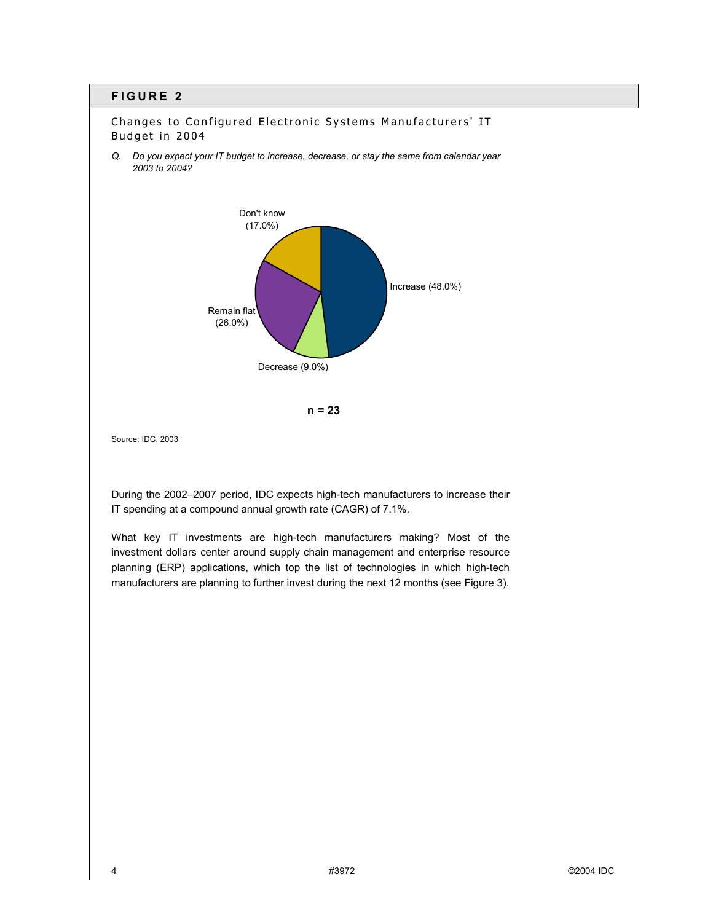## **FIGURE 2**



Changes to Configured Electronic Systems Manufacturers' IT Budget in 2004

*Q. Do you expect your IT budget to increase, decrease, or stay the same from calendar year* 

During the 2002-2007 period, IDC expects high-tech manufacturers to increase their IT spending at a compound annual growth rate (CAGR) of 7.1%.

What key IT investments are high-tech manufacturers making? Most of the investment dollars center around supply chain management and enterprise resource planning (ERP) applications, which top the list of technologies in which high-tech manufacturers are planning to further invest during the next 12 months (see Figure 3).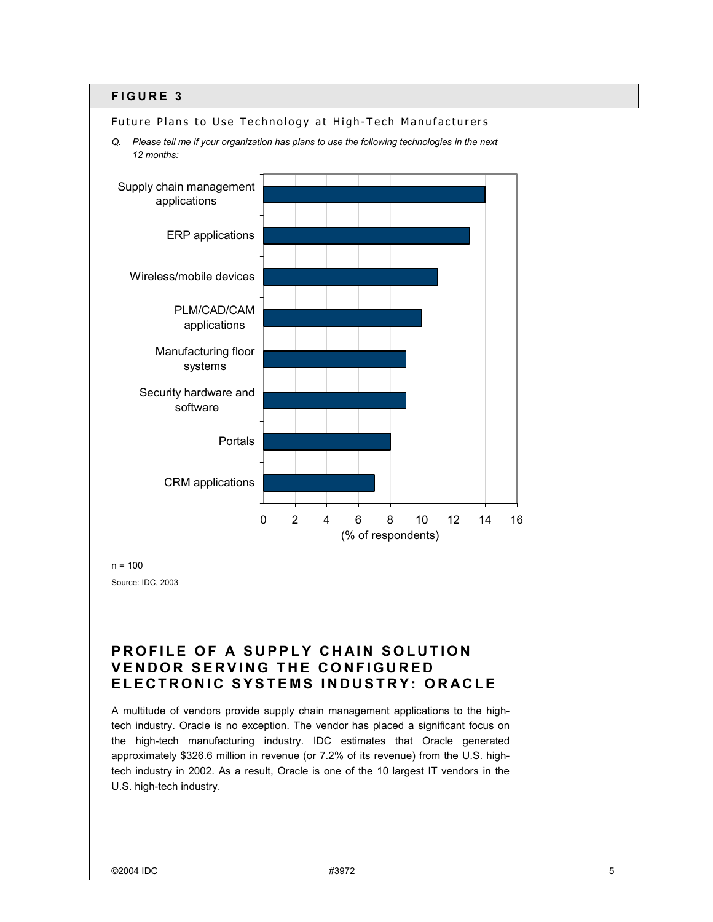#### **FIGURE 3**



 $n = 100$ Source: IDC, 2003

# **PROFILE OF A SUPPLY CHAIN SOLUTION VENDOR SERVING THE CONFIGURED ELECTRONIC SYSTEMS INDUSTRY: ORACLE**

A multitude of vendors provide supply chain management applications to the hightech industry. Oracle is no exception. The vendor has placed a significant focus on the high-tech manufacturing industry. IDC estimates that Oracle generated approximately \$326.6 million in revenue (or 7.2% of its revenue) from the U.S. hightech industry in 2002. As a result, Oracle is one of the 10 largest IT vendors in the U.S. high-tech industry.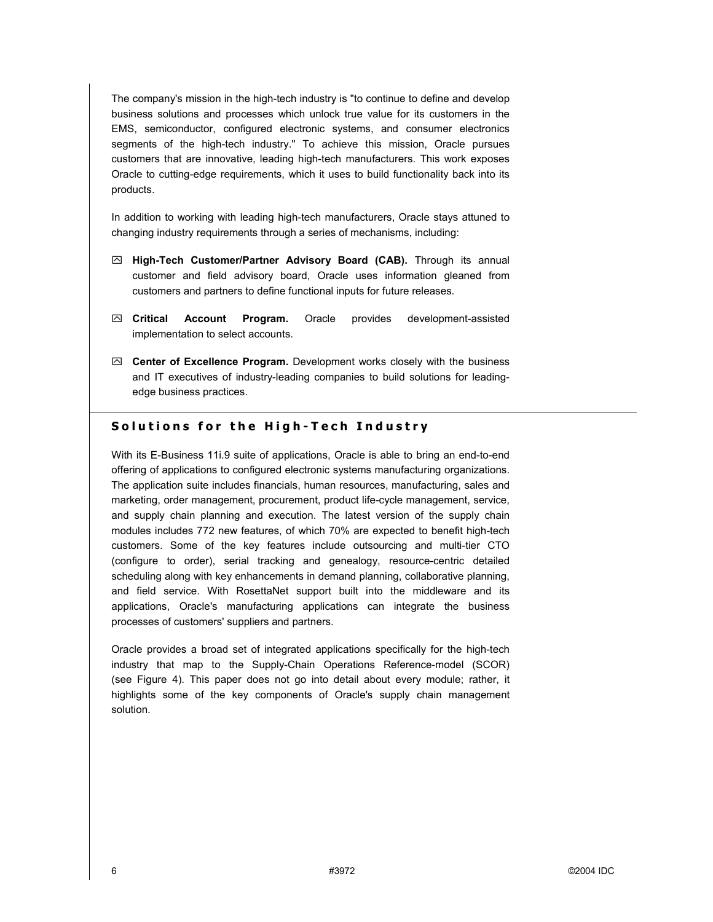The company's mission in the high-tech industry is "to continue to define and develop business solutions and processes which unlock true value for its customers in the EMS, semiconductor, configured electronic systems, and consumer electronics segments of the high-tech industry." To achieve this mission, Oracle pursues customers that are innovative, leading high-tech manufacturers. This work exposes Oracle to cutting-edge requirements, which it uses to build functionality back into its products.

In addition to working with leading high-tech manufacturers, Oracle stays attuned to changing industry requirements through a series of mechanisms, including:

- ! **High-Tech Customer/Partner Advisory Board (CAB).** Through its annual customer and field advisory board, Oracle uses information gleaned from customers and partners to define functional inputs for future releases.
- ! **Critical Account Program.** Oracle provides development-assisted implementation to select accounts.
- $□$  **Center of Excellence Program.** Development works closely with the business and IT executives of industry-leading companies to build solutions for leadingedge business practices.

#### **Solutions for the High-Tech Industry**

With its E-Business 11i.9 suite of applications, Oracle is able to bring an end-to-end offering of applications to configured electronic systems manufacturing organizations. The application suite includes financials, human resources, manufacturing, sales and marketing, order management, procurement, product life-cycle management, service, and supply chain planning and execution. The latest version of the supply chain modules includes 772 new features, of which 70% are expected to benefit high-tech customers. Some of the key features include outsourcing and multi-tier CTO (configure to order), serial tracking and genealogy, resource-centric detailed scheduling along with key enhancements in demand planning, collaborative planning, and field service. With RosettaNet support built into the middleware and its applications, Oracle's manufacturing applications can integrate the business processes of customers' suppliers and partners.

Oracle provides a broad set of integrated applications specifically for the high-tech industry that map to the Supply-Chain Operations Reference-model (SCOR) (see Figure 4). This paper does not go into detail about every module; rather, it highlights some of the key components of Oracle's supply chain management solution.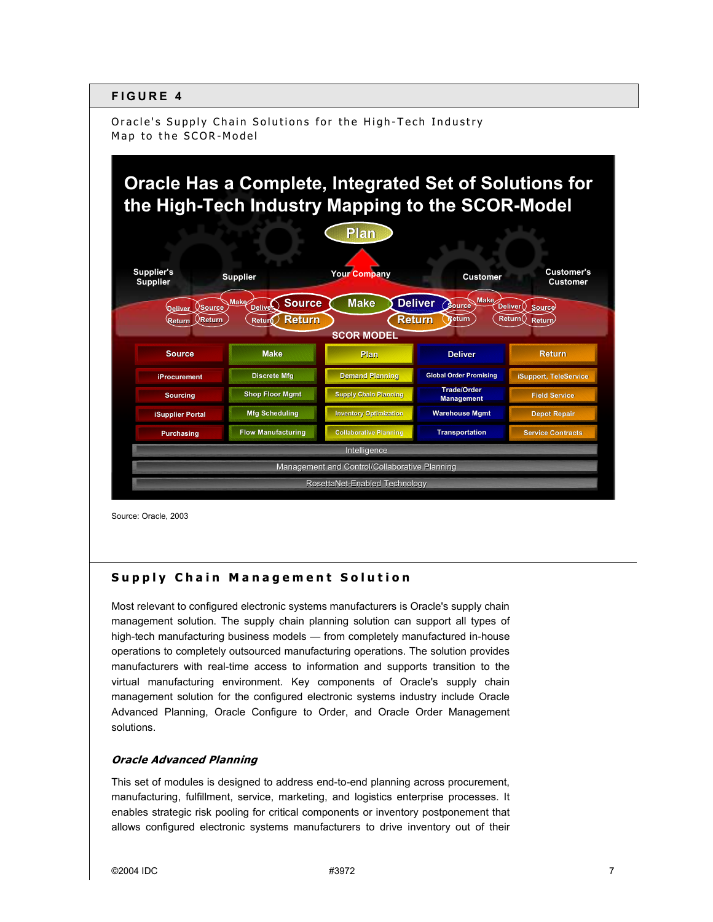## **FIGURE 4**

Oracle's Supply Chain Solutions for the High-Tech Industry Map to the SCOR-Model

# **Oracle Has a Complete, Integrated Set of Solutions for the High-Tech Industry Mapping to the SCOR-Model**



Source: Oracle, 2003

## **Supply Chain Management Solution**

Most relevant to configured electronic systems manufacturers is Oracle's supply chain management solution. The supply chain planning solution can support all types of high-tech manufacturing business models — from completely manufactured in-house operations to completely outsourced manufacturing operations. The solution provides manufacturers with real-time access to information and supports transition to the virtual manufacturing environment. Key components of Oracle's supply chain management solution for the configured electronic systems industry include Oracle Advanced Planning, Oracle Configure to Order, and Oracle Order Management solutions.

#### **Oracle Advanced Planning**

This set of modules is designed to address end-to-end planning across procurement, manufacturing, fulfillment, service, marketing, and logistics enterprise processes. It enables strategic risk pooling for critical components or inventory postponement that allows configured electronic systems manufacturers to drive inventory out of their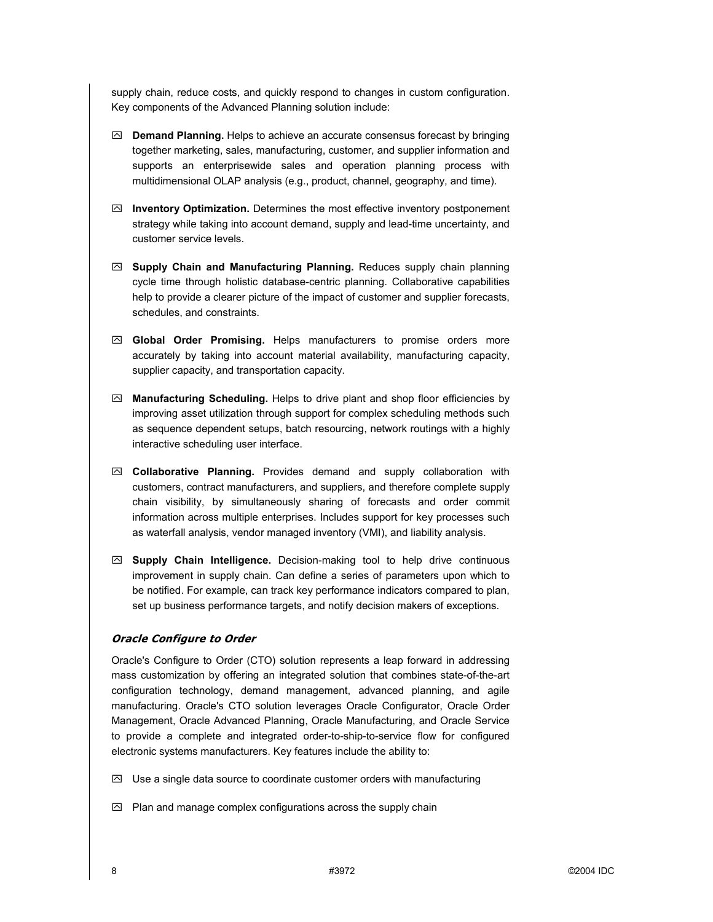supply chain, reduce costs, and quickly respond to changes in custom configuration. Key components of the Advanced Planning solution include:

- ! **Demand Planning.** Helps to achieve an accurate consensus forecast by bringing together marketing, sales, manufacturing, customer, and supplier information and supports an enterprisewide sales and operation planning process with multidimensional OLAP analysis (e.g., product, channel, geography, and time).
- ! **Inventory Optimization.** Determines the most effective inventory postponement strategy while taking into account demand, supply and lead-time uncertainty, and customer service levels.
- ! **Supply Chain and Manufacturing Planning.** Reduces supply chain planning cycle time through holistic database-centric planning. Collaborative capabilities help to provide a clearer picture of the impact of customer and supplier forecasts, schedules, and constraints.
- ! **Global Order Promising.** Helps manufacturers to promise orders more accurately by taking into account material availability, manufacturing capacity, supplier capacity, and transportation capacity.
- ! **Manufacturing Scheduling.** Helps to drive plant and shop floor efficiencies by improving asset utilization through support for complex scheduling methods such as sequence dependent setups, batch resourcing, network routings with a highly interactive scheduling user interface.
- ! **Collaborative Planning.** Provides demand and supply collaboration with customers, contract manufacturers, and suppliers, and therefore complete supply chain visibility, by simultaneously sharing of forecasts and order commit information across multiple enterprises. Includes support for key processes such as waterfall analysis, vendor managed inventory (VMI), and liability analysis.
- ! **Supply Chain Intelligence.** Decision-making tool to help drive continuous improvement in supply chain. Can define a series of parameters upon which to be notified. For example, can track key performance indicators compared to plan, set up business performance targets, and notify decision makers of exceptions.

#### **Oracle Configure to Order**

Oracle's Configure to Order (CTO) solution represents a leap forward in addressing mass customization by offering an integrated solution that combines state-of-the-art configuration technology, demand management, advanced planning, and agile manufacturing. Oracle's CTO solution leverages Oracle Configurator, Oracle Order Management, Oracle Advanced Planning, Oracle Manufacturing, and Oracle Service to provide a complete and integrated order-to-ship-to-service flow for configured electronic systems manufacturers. Key features include the ability to:

- $\boxtimes$  Use a single data source to coordinate customer orders with manufacturing
- $\boxtimes$  Plan and manage complex configurations across the supply chain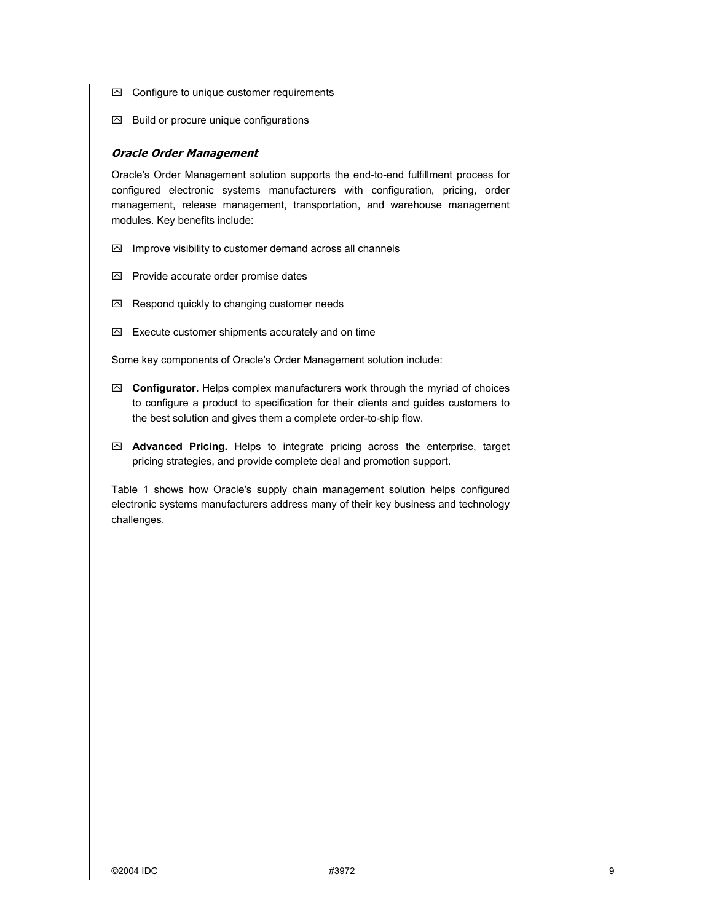- $\boxdot$  Configure to unique customer requirements
- $\boxtimes$  Build or procure unique configurations

#### **Oracle Order Management**

Oracle's Order Management solution supports the end-to-end fulfillment process for configured electronic systems manufacturers with configuration, pricing, order management, release management, transportation, and warehouse management modules. Key benefits include:

- $\boxtimes$  Improve visibility to customer demand across all channels
- $\boxtimes$  Provide accurate order promise dates
- $\boxtimes$  Respond quickly to changing customer needs
- $\boxdot$  Execute customer shipments accurately and on time

Some key components of Oracle's Order Management solution include:

- ! **Configurator.** Helps complex manufacturers work through the myriad of choices to configure a product to specification for their clients and guides customers to the best solution and gives them a complete order-to-ship flow.
- ! **Advanced Pricing.** Helps to integrate pricing across the enterprise, target pricing strategies, and provide complete deal and promotion support.

Table 1 shows how Oracle's supply chain management solution helps configured electronic systems manufacturers address many of their key business and technology challenges.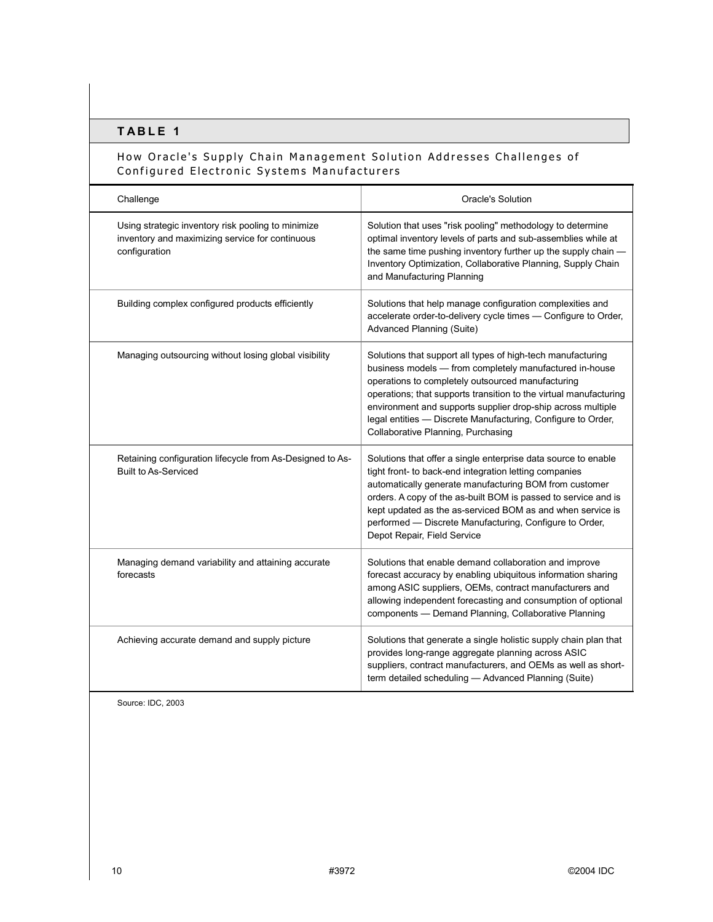## **TABLE 1**

## How Oracle's Supply Chain Management Solution Addresses Challenges of Configured Electronic Systems Manufacturers

| Challenge                                                                                                              | Oracle's Solution                                                                                                                                                                                                                                                                                                                                                                                                     |
|------------------------------------------------------------------------------------------------------------------------|-----------------------------------------------------------------------------------------------------------------------------------------------------------------------------------------------------------------------------------------------------------------------------------------------------------------------------------------------------------------------------------------------------------------------|
| Using strategic inventory risk pooling to minimize<br>inventory and maximizing service for continuous<br>configuration | Solution that uses "risk pooling" methodology to determine<br>optimal inventory levels of parts and sub-assemblies while at<br>the same time pushing inventory further up the supply chain -<br>Inventory Optimization, Collaborative Planning, Supply Chain<br>and Manufacturing Planning                                                                                                                            |
| Building complex configured products efficiently                                                                       | Solutions that help manage configuration complexities and<br>accelerate order-to-delivery cycle times - Configure to Order,<br>Advanced Planning (Suite)                                                                                                                                                                                                                                                              |
| Managing outsourcing without losing global visibility                                                                  | Solutions that support all types of high-tech manufacturing<br>business models - from completely manufactured in-house<br>operations to completely outsourced manufacturing<br>operations; that supports transition to the virtual manufacturing<br>environment and supports supplier drop-ship across multiple<br>legal entities - Discrete Manufacturing, Configure to Order,<br>Collaborative Planning, Purchasing |
| Retaining configuration lifecycle from As-Designed to As-<br><b>Built to As-Serviced</b>                               | Solutions that offer a single enterprise data source to enable<br>tight front- to back-end integration letting companies<br>automatically generate manufacturing BOM from customer<br>orders. A copy of the as-built BOM is passed to service and is<br>kept updated as the as-serviced BOM as and when service is<br>performed - Discrete Manufacturing, Configure to Order,<br>Depot Repair, Field Service          |
| Managing demand variability and attaining accurate<br>forecasts                                                        | Solutions that enable demand collaboration and improve<br>forecast accuracy by enabling ubiquitous information sharing<br>among ASIC suppliers, OEMs, contract manufacturers and<br>allowing independent forecasting and consumption of optional<br>components - Demand Planning, Collaborative Planning                                                                                                              |
| Achieving accurate demand and supply picture                                                                           | Solutions that generate a single holistic supply chain plan that<br>provides long-range aggregate planning across ASIC<br>suppliers, contract manufacturers, and OEMs as well as short-<br>term detailed scheduling - Advanced Planning (Suite)                                                                                                                                                                       |

Source: IDC, 2003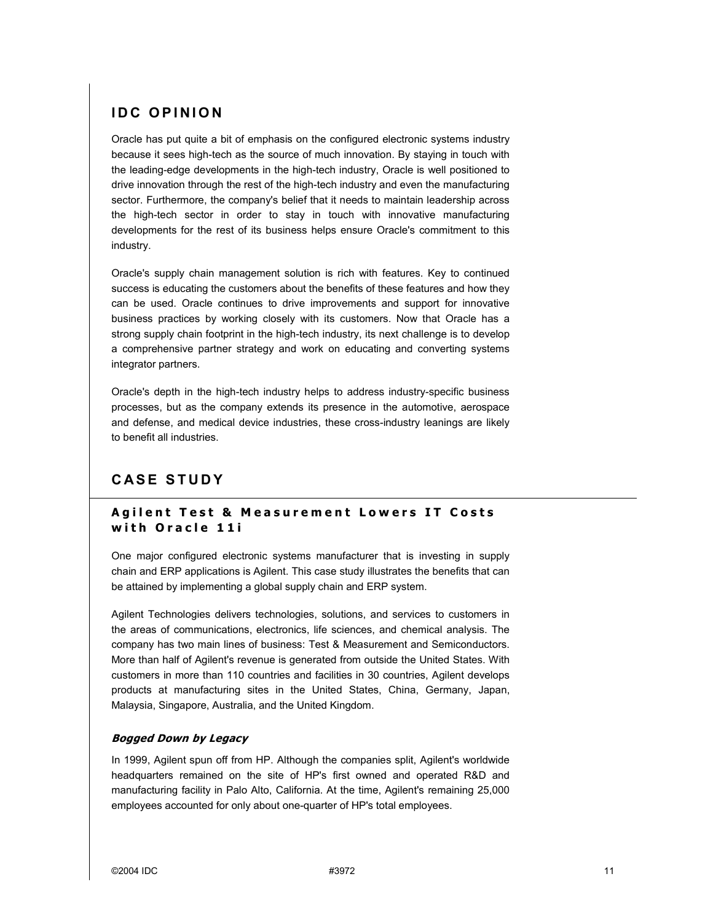# **IDC OPINION**

Oracle has put quite a bit of emphasis on the configured electronic systems industry because it sees high-tech as the source of much innovation. By staying in touch with the leading-edge developments in the high-tech industry, Oracle is well positioned to drive innovation through the rest of the high-tech industry and even the manufacturing sector. Furthermore, the company's belief that it needs to maintain leadership across the high-tech sector in order to stay in touch with innovative manufacturing developments for the rest of its business helps ensure Oracle's commitment to this industry.

Oracle's supply chain management solution is rich with features. Key to continued success is educating the customers about the benefits of these features and how they can be used. Oracle continues to drive improvements and support for innovative business practices by working closely with its customers. Now that Oracle has a strong supply chain footprint in the high-tech industry, its next challenge is to develop a comprehensive partner strategy and work on educating and converting systems integrator partners.

Oracle's depth in the high-tech industry helps to address industry-specific business processes, but as the company extends its presence in the automotive, aerospace and defense, and medical device industries, these cross-industry leanings are likely to benefit all industries.

# **CASE STUDY**

## **Agilent Test & Measurement Lowers IT Costs with Oracle 11i**

One major configured electronic systems manufacturer that is investing in supply chain and ERP applications is Agilent. This case study illustrates the benefits that can be attained by implementing a global supply chain and ERP system.

Agilent Technologies delivers technologies, solutions, and services to customers in the areas of communications, electronics, life sciences, and chemical analysis. The company has two main lines of business: Test & Measurement and Semiconductors. More than half of Agilent's revenue is generated from outside the United States. With customers in more than 110 countries and facilities in 30 countries, Agilent develops products at manufacturing sites in the United States, China, Germany, Japan, Malaysia, Singapore, Australia, and the United Kingdom.

#### **Bogged Down by Legacy**

In 1999, Agilent spun off from HP. Although the companies split, Agilent's worldwide headquarters remained on the site of HP's first owned and operated R&D and manufacturing facility in Palo Alto, California. At the time, Agilent's remaining 25,000 employees accounted for only about one-quarter of HP's total employees.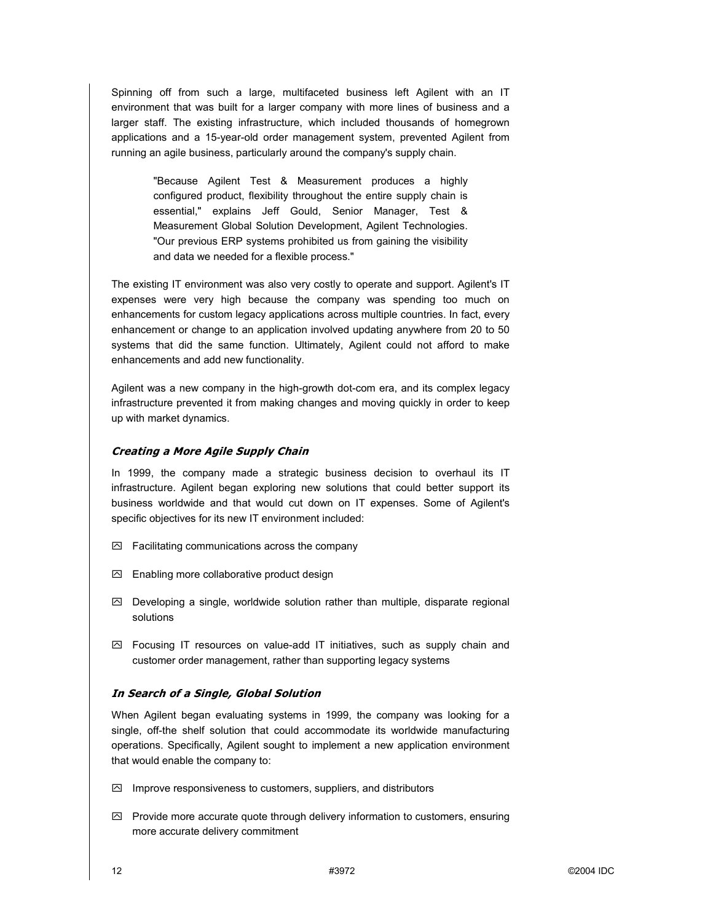Spinning off from such a large, multifaceted business left Agilent with an IT environment that was built for a larger company with more lines of business and a larger staff. The existing infrastructure, which included thousands of homegrown applications and a 15-year-old order management system, prevented Agilent from running an agile business, particularly around the company's supply chain.

> "Because Agilent Test & Measurement produces a highly configured product, flexibility throughout the entire supply chain is essential," explains Jeff Gould, Senior Manager, Test & Measurement Global Solution Development, Agilent Technologies. "Our previous ERP systems prohibited us from gaining the visibility and data we needed for a flexible process."

The existing IT environment was also very costly to operate and support. Agilent's IT expenses were very high because the company was spending too much on enhancements for custom legacy applications across multiple countries. In fact, every enhancement or change to an application involved updating anywhere from 20 to 50 systems that did the same function. Ultimately, Agilent could not afford to make enhancements and add new functionality.

Agilent was a new company in the high-growth dot-com era, and its complex legacy infrastructure prevented it from making changes and moving quickly in order to keep up with market dynamics.

#### **Creating a More Agile Supply Chain**

In 1999, the company made a strategic business decision to overhaul its IT infrastructure. Agilent began exploring new solutions that could better support its business worldwide and that would cut down on IT expenses. Some of Agilent's specific objectives for its new IT environment included:

- $\boxtimes$  Facilitating communications across the company
- $\boxdot$  Enabling more collaborative product design
- $\boxtimes$  Developing a single, worldwide solution rather than multiple, disparate regional solutions
- $\boxtimes$  Focusing IT resources on value-add IT initiatives, such as supply chain and customer order management, rather than supporting legacy systems

#### **In Search of a Single, Global Solution**

When Agilent began evaluating systems in 1999, the company was looking for a single, off-the shelf solution that could accommodate its worldwide manufacturing operations. Specifically, Agilent sought to implement a new application environment that would enable the company to:

- $\boxtimes$  Improve responsiveness to customers, suppliers, and distributors
- $\boxtimes$  Provide more accurate quote through delivery information to customers, ensuring more accurate delivery commitment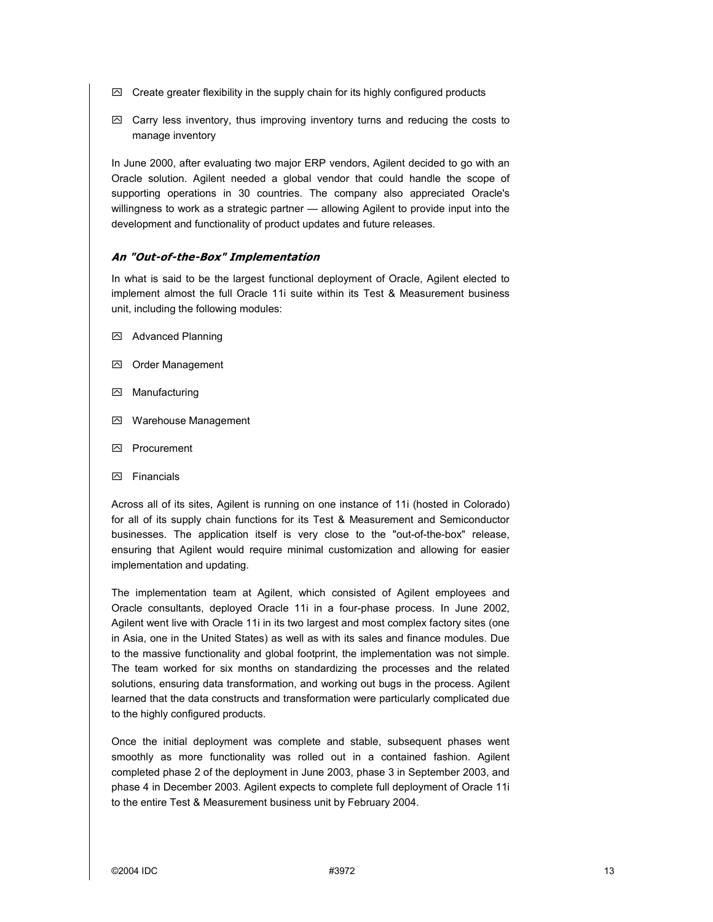- $\boxtimes$  Create greater flexibility in the supply chain for its highly configured products
- $\boxtimes$  Carry less inventory, thus improving inventory turns and reducing the costs to manage inventory

In June 2000, after evaluating two major ERP vendors, Agilent decided to go with an Oracle solution. Agilent needed a global vendor that could handle the scope of supporting operations in 30 countries. The company also appreciated Oracle's willingness to work as a strategic partner - allowing Agilent to provide input into the development and functionality of product updates and future releases.

#### **An "Out-of-the-Box" Implementation**

In what is said to be the largest functional deployment of Oracle, Agilent elected to implement almost the full Oracle 11i suite within its Test & Measurement business unit, including the following modules:

- **2** Advanced Planning
- Order Management
- Manufacturing
- Warehouse Management
- Procurement
- **因** Financials

Across all of its sites, Agilent is running on one instance of 11i (hosted in Colorado) for all of its supply chain functions for its Test & Measurement and Semiconductor businesses. The application itself is very close to the "out-of-the-box" release, ensuring that Agilent would require minimal customization and allowing for easier implementation and updating.

The implementation team at Agilent, which consisted of Agilent employees and Oracle consultants, deployed Oracle 11i in a four-phase process. In June 2002, Agilent went live with Oracle 11i in its two largest and most complex factory sites (one in Asia, one in the United States) as well as with its sales and finance modules. Due to the massive functionality and global footprint, the implementation was not simple. The team worked for six months on standardizing the processes and the related solutions, ensuring data transformation, and working out bugs in the process. Agilent learned that the data constructs and transformation were particularly complicated due to the highly configured products.

Once the initial deployment was complete and stable, subsequent phases went smoothly as more functionality was rolled out in a contained fashion. Agilent completed phase 2 of the deployment in June 2003, phase 3 in September 2003, and phase 4 in December 2003. Agilent expects to complete full deployment of Oracle 11i to the entire Test & Measurement business unit by February 2004.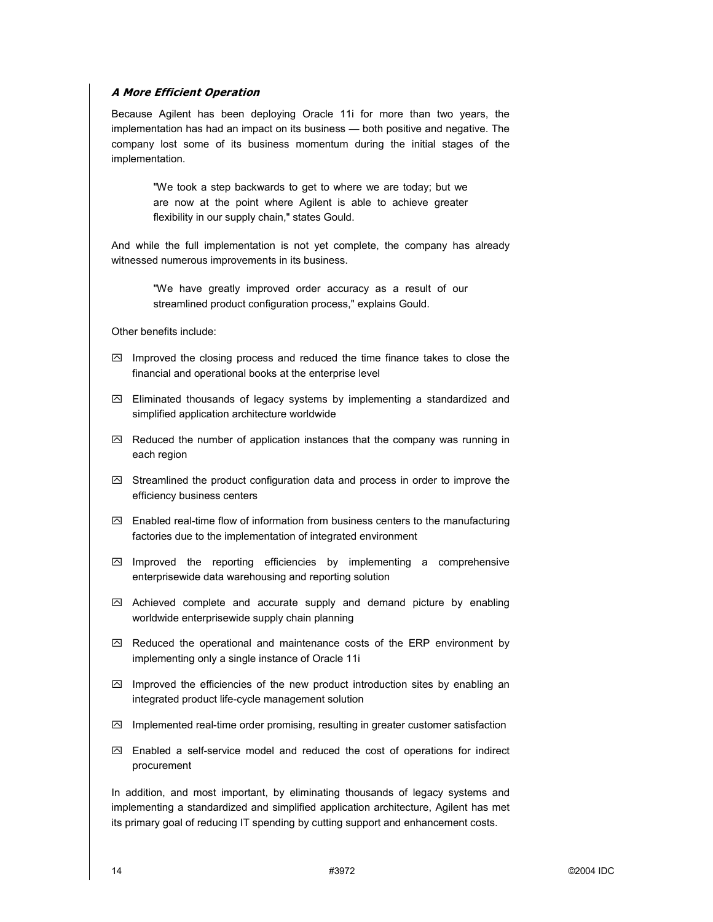#### **A More Efficient Operation**

Because Agilent has been deploying Oracle 11i for more than two years, the implementation has had an impact on its business - both positive and negative. The company lost some of its business momentum during the initial stages of the implementation.

> "We took a step backwards to get to where we are today; but we are now at the point where Agilent is able to achieve greater flexibility in our supply chain," states Gould.

And while the full implementation is not yet complete, the company has already witnessed numerous improvements in its business.

> "We have greatly improved order accuracy as a result of our streamlined product configuration process," explains Gould.

Other benefits include:

- $\boxdot$  Improved the closing process and reduced the time finance takes to close the financial and operational books at the enterprise level
- $\boxtimes$  Eliminated thousands of legacy systems by implementing a standardized and simplified application architecture worldwide
- $\boxtimes$  Reduced the number of application instances that the company was running in each region
- $\boxtimes$  Streamlined the product configuration data and process in order to improve the efficiency business centers
- $\boxtimes$  Enabled real-time flow of information from business centers to the manufacturing factories due to the implementation of integrated environment
- $\boxtimes$  Improved the reporting efficiencies by implementing a comprehensive enterprisewide data warehousing and reporting solution
- $\boxtimes$  Achieved complete and accurate supply and demand picture by enabling worldwide enterprisewide supply chain planning
- $\boxtimes$  Reduced the operational and maintenance costs of the ERP environment by implementing only a single instance of Oracle 11i
- $\boxtimes$  Improved the efficiencies of the new product introduction sites by enabling an integrated product life-cycle management solution
- $\boxtimes$  Implemented real-time order promising, resulting in greater customer satisfaction
- $\boxtimes$  Enabled a self-service model and reduced the cost of operations for indirect procurement

In addition, and most important, by eliminating thousands of legacy systems and implementing a standardized and simplified application architecture, Agilent has met its primary goal of reducing IT spending by cutting support and enhancement costs.